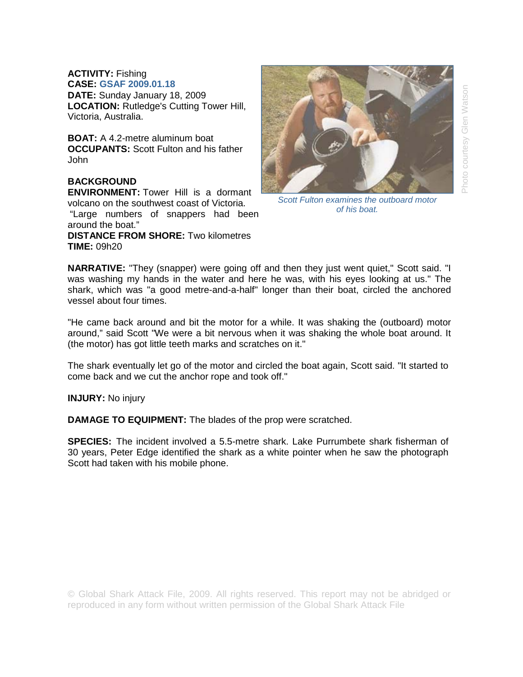**ACTIVITY:** Fishing **CASE: GSAF 2009.01.18 DATE:** Sunday January 18, 2009

**LOCATION:** Rutledge's Cutting Tower Hill, Victoria, Australia.

**BOAT:** A 4.2-metre aluminum boat **OCCUPANTS:** Scott Fulton and his father John

## **BACKGROUND**

**ENVIRONMENT:** Tower Hill is a dormant volcano on the southwest coast of Victoria. "Large numbers of snappers had been

around the boat." **DISTANCE FROM SHORE:** Two kilometres **TIME:** 09h20



*Scott Fulton examines the outboard motor of his boat.* 

**NARRATIVE:** "They (snapper) were going off and then they just went quiet," Scott said. "I was washing my hands in the water and here he was, with his eyes looking at us." The shark, which was "a good metre-and-a-half" longer than their boat, circled the anchored vessel about four times.

"He came back around and bit the motor for a while. It was shaking the (outboard) motor around," said Scott "We were a bit nervous when it was shaking the whole boat around. It (the motor) has got little teeth marks and scratches on it."

The shark eventually let go of the motor and circled the boat again, Scott said. "It started to come back and we cut the anchor rope and took off."

**INJURY:** No injury

**DAMAGE TO EQUIPMENT:** The blades of the prop were scratched.

**SPECIES:** The incident involved a 5.5-metre shark. Lake Purrumbete shark fisherman of 30 years, Peter Edge identified the shark as a white pointer when he saw the photograph Scott had taken with his mobile phone.

© Global Shark Attack File, 2009. All rights reserved. This report may not be abridged or reproduced in any form without written permission of the Global Shark Attack File.